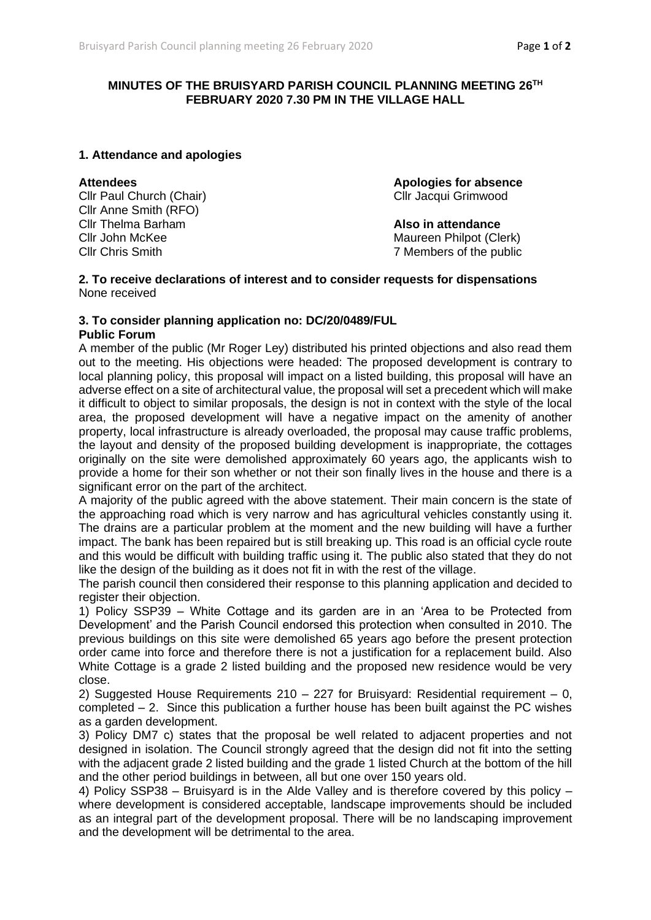# **MINUTES OF THE BRUISYARD PARISH COUNCIL PLANNING MEETING 26 TH FEBRUARY 2020 7.30 PM IN THE VILLAGE HALL**

## **1. Attendance and apologies**

Cllr Paul Church (Chair) Cllr Jacqui Grimwood Cllr Anne Smith (RFO) Cllr Thelma Barham **Also in attendance** Cllr John McKee Maureen Philpot (Clerk)

**Attendees Apologies for absence**

Cllr Chris Smith 7 Members of the public

#### **2. To receive declarations of interest and to consider requests for dispensations** None received

# **3. To consider planning application no: DC/20/0489/FUL**

## **Public Forum**

A member of the public (Mr Roger Ley) distributed his printed objections and also read them out to the meeting. His objections were headed: The proposed development is contrary to local planning policy, this proposal will impact on a listed building, this proposal will have an adverse effect on a site of architectural value, the proposal will set a precedent which will make it difficult to object to similar proposals, the design is not in context with the style of the local area, the proposed development will have a negative impact on the amenity of another property, local infrastructure is already overloaded, the proposal may cause traffic problems, the layout and density of the proposed building development is inappropriate, the cottages originally on the site were demolished approximately 60 years ago, the applicants wish to provide a home for their son whether or not their son finally lives in the house and there is a significant error on the part of the architect.

A majority of the public agreed with the above statement. Their main concern is the state of the approaching road which is very narrow and has agricultural vehicles constantly using it. The drains are a particular problem at the moment and the new building will have a further impact. The bank has been repaired but is still breaking up. This road is an official cycle route and this would be difficult with building traffic using it. The public also stated that they do not like the design of the building as it does not fit in with the rest of the village.

The parish council then considered their response to this planning application and decided to register their objection.

1) Policy SSP39 – White Cottage and its garden are in an 'Area to be Protected from Development' and the Parish Council endorsed this protection when consulted in 2010. The previous buildings on this site were demolished 65 years ago before the present protection order came into force and therefore there is not a justification for a replacement build. Also White Cottage is a grade 2 listed building and the proposed new residence would be very close.

2) Suggested House Requirements 210 – 227 for Bruisyard: Residential requirement – 0, completed – 2. Since this publication a further house has been built against the PC wishes as a garden development.

3) Policy DM7 c) states that the proposal be well related to adjacent properties and not designed in isolation. The Council strongly agreed that the design did not fit into the setting with the adjacent grade 2 listed building and the grade 1 listed Church at the bottom of the hill and the other period buildings in between, all but one over 150 years old.

4) Policy SSP38 – Bruisyard is in the Alde Valley and is therefore covered by this policy – where development is considered acceptable, landscape improvements should be included as an integral part of the development proposal. There will be no landscaping improvement and the development will be detrimental to the area.